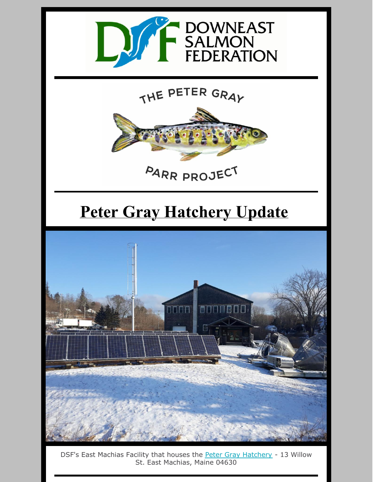

## THE PETER GRAY



# **Peter Gray Hatchery Update**



DSF's East Machias Facility that houses the Peter Gray [Hatchery](https://mainesalmonrivers.org/parr-project/the-peter-gray-hatchery/) - 13 Willow St. East Machias, Maine 04630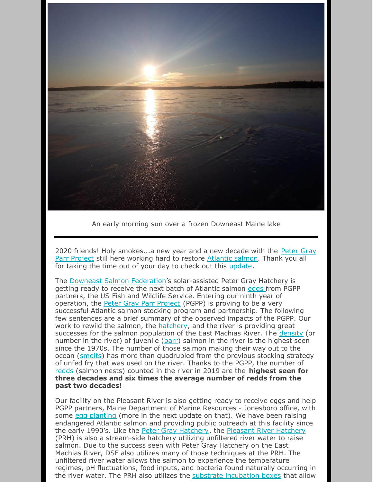

An early morning sun over a frozen Downeast Maine lake

2020 friends! Holy [smokes...a](https://mainesalmonrivers.org/parr-project/peter-gray-parr-project/) new year and a new decade with the Peter Gray Parr Project still here working hard to restore [Atlantic](https://mainesalmonrivers.org/parr-project/atlantic-salmon-overview/) salmon. Thank you all for taking the time out of your day to check out this [update](https://mainesalmonrivers.org/parr-project/peter-gray-hatchery-report/).

The Downeast Salmon [Federation](https://mainesalmonrivers.org/)'s solar-assisted Peter Gray Hatchery is getting ready to receive the next batch of Atlantic salmon [eggs](https://mainesalmonrivers.org/parr-project/atlantic-salmon-overview/) from PGPP partners, the US Fish and Wildlife Service. Entering our ninth year of operation, the Peter Gray Parr [Project](https://mainesalmonrivers.org/parr-project/peter-gray-parr-project/) (PGPP) is proving to be a very successful Atlantic salmon stocking program and partnership. The following few sentences are a brief summary of the observed impacts of the PGPP. Our work to rewild the salmon, the [hatchery](https://mainesalmonrivers.org/parr-project/the-peter-gray-hatchery/), and the river is providing great successes for the salmon population of the East Machias River. The [density](https://mainesalmonrivers.org/parr-project/electrofishing/) (or number in the river) of juvenile [\(parr](https://mainesalmonrivers.org/parr-project/atlantic-salmon-overview/)) salmon in the river is the highest seen since the 1970s. The number of those salmon making their way out to the ocean [\(smolts](https://mainesalmonrivers.org/parr-project/smolt-trapping/)) has more than quadrupled from the previous stocking strategy of unfed fry that was used on the river. Thanks to the PGPP, the number of [redds](https://mainesalmonrivers.org/parr-project/redd-counting/) (salmon nests) counted in the river in 2019 are the **highest seen for three decades and six times the average number of redds from the past two decades!**

Our facility on the Pleasant River is also getting ready to receive eggs and help PGPP partners, Maine Department of Marine Resources - Jonesboro office, with some egg [planting](https://mainesalmonrivers.org/field-work/egg-planting/) (more in the next update on that). We have been raising endangered Atlantic salmon and providing public outreach at this facility since the early 1990's. Like the Peter Gray [Hatchery](https://mainesalmonrivers.org/parr-project/peter-gray-parr-project/), the Pleasant River [Hatchery](https://mainesalmonrivers.org/habitat-restoration/pleasant-river-hatchery/) (PRH) is also a stream-side hatchery utilizing unfiltered river water to raise salmon. Due to the success seen with Peter Gray Hatchery on the East Machias River, DSF also utilizes many of those techniques at the PRH. The unfiltered river water allows the salmon to experience the temperature regimes, pH fluctuations, food inputs, and bacteria found naturally occurring in the river water. The PRH also utilizes the substrate [incubation](https://mainesalmonrivers.org/parr-project/the-peter-gray-hatchery/) boxes that allow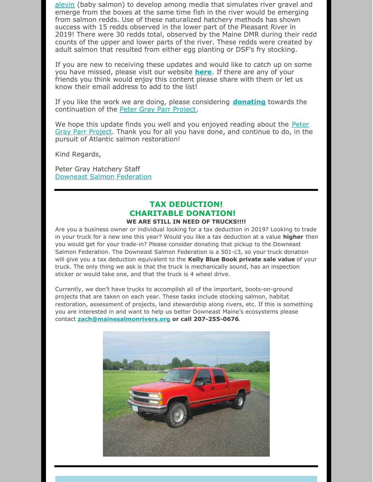[alevin](https://mainesalmonrivers.org/parr-project/atlantic-salmon-overview/) (baby salmon) to develop among media that simulates river gravel and emerge from the boxes at the same time fish in the river would be emerging from salmon redds. Use of these naturalized hatchery methods has shown success with 15 redds observed in the lower part of the Pleasant River in 2019! There were 30 redds total, observed by the Maine DMR during their redd counts of the upper and lower parts of the river. These redds were created by adult salmon that resulted from either egg planting or DSF's fry stocking.

If you are new to receiving these updates and would like to catch up on some you have missed, please visit our website **[here](https://mainesalmonrivers.org/parr-project/peter-gray-hatchery-report/)**. If there are any of your friends you think would enjoy this content please share with them or let us know their email address to add to the list!

If you like the work we are doing, please considering **[donating](https://mainesalmonrivers.org/parr-project/donate-to-the-peter-gray-parr-project/)** towards the continuation of the Peter Gray Parr [Project](https://mainesalmonrivers.org/parr-project/donate-to-the-peter-gray-parr-project/).

We hope this update finds you well and you enjoyed reading about the Peter Gray Parr Project. Thank you for all you have done, and [continue](https://mainesalmonrivers.org/parr-project/peter-gray-parr-project/) to do, in the pursuit of Atlantic salmon restoration!

Kind Regards,

Peter Gray Hatchery Staff Downeast Salmon [Federation](https://mainesalmonrivers.org/)

### **TAX DEDUCTION! CHARITABLE DONATION!**

#### **WE ARE STILL IN NEED OF TRUCKS!!!!**

Are you a business owner or individual looking for a tax deduction in 2019? Looking to trade in your truck for a new one this year? Would you like a tax deduction at a value **higher** then you would get for your trade-in? Please consider donating that pickup to the Downeast Salmon Federation. The Downeast Salmon Federation is a 501-c3, so your truck donation will give you a tax deduction equivalent to the **Kelly Blue Book private sale value** of your truck. The only thing we ask is that the truck is mechanically sound, has an inspection sticker or would take one, and that the truck is 4 wheel drive.

Currently, we don't have trucks to accomplish all of the important, boots-on-ground projects that are taken on each year. These tasks include stocking salmon, habitat restoration, assessment of projects, land stewardship along rivers, etc. If this is something you are interested in and want to help us better Downeast Maine's ecosystems please contact **[zach@mainesalmonrivers.org](mailto:zach@mainesalmonrivers.org) or call 207-255-0676**.

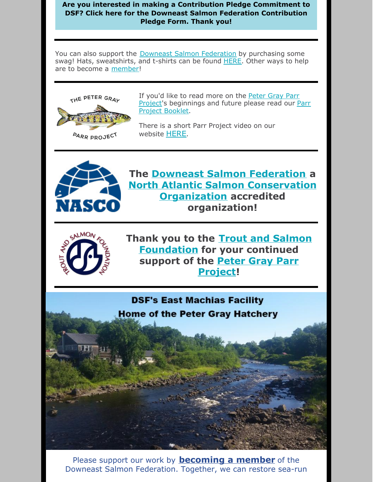### **Are you interested in making a Contribution Pledge [Commitment](https://files.constantcontact.com/6c7a16d6501/5fc13ada-9396-4b48-81a1-cd7f30f9ee0c.docx) to DSF? Click here for the Downeast Salmon Federation Contribution Pledge Form. Thank you!**

You can also support the Downeast Salmon [Federation](http://www.mainesalmonrivers.org) by purchasing some swag! Hats, sweatshirts, and t-shirts can be found [HERE](https://mainesalmonrivers.org/shop/). Other ways to help are to become a [member](https://mainesalmonrivers.org/donate/)!

website [HERE](https://mainesalmonrivers.org/parr-project/peter-gray-parr-project/).



If you'd like to read more on the Peter Gray Parr Project's [beginnings](https://mainesalmonrivers.org/parr-project/peter-gray-parr-project/) and future please read our Parr Project Booklet.

There is a short Parr Project video on our

**PARR PROJECT** 



**The Downeast Salmon [Federation](http://mainesalmonrivers.org) a North Atlantic Salmon [Conservation](http://www.nasco.int/) Organization accredited organization!**



**Thank you to the Trout and Salmon [Foundation](https://www.troutandsalmonfoundation.org/) for your continued support of the Peter Gray Parr [Project!](https://mainesalmonrivers.org/parr-project/peter-gray-parr-project/)**

**DSF's East Machias Facility Home of the Peter Gray Hatchery** 

Please support our work by **[becoming](https://mainesalmonrivers.org/donate/) a member** of the Downeast Salmon Federation. Together, we can restore sea-run